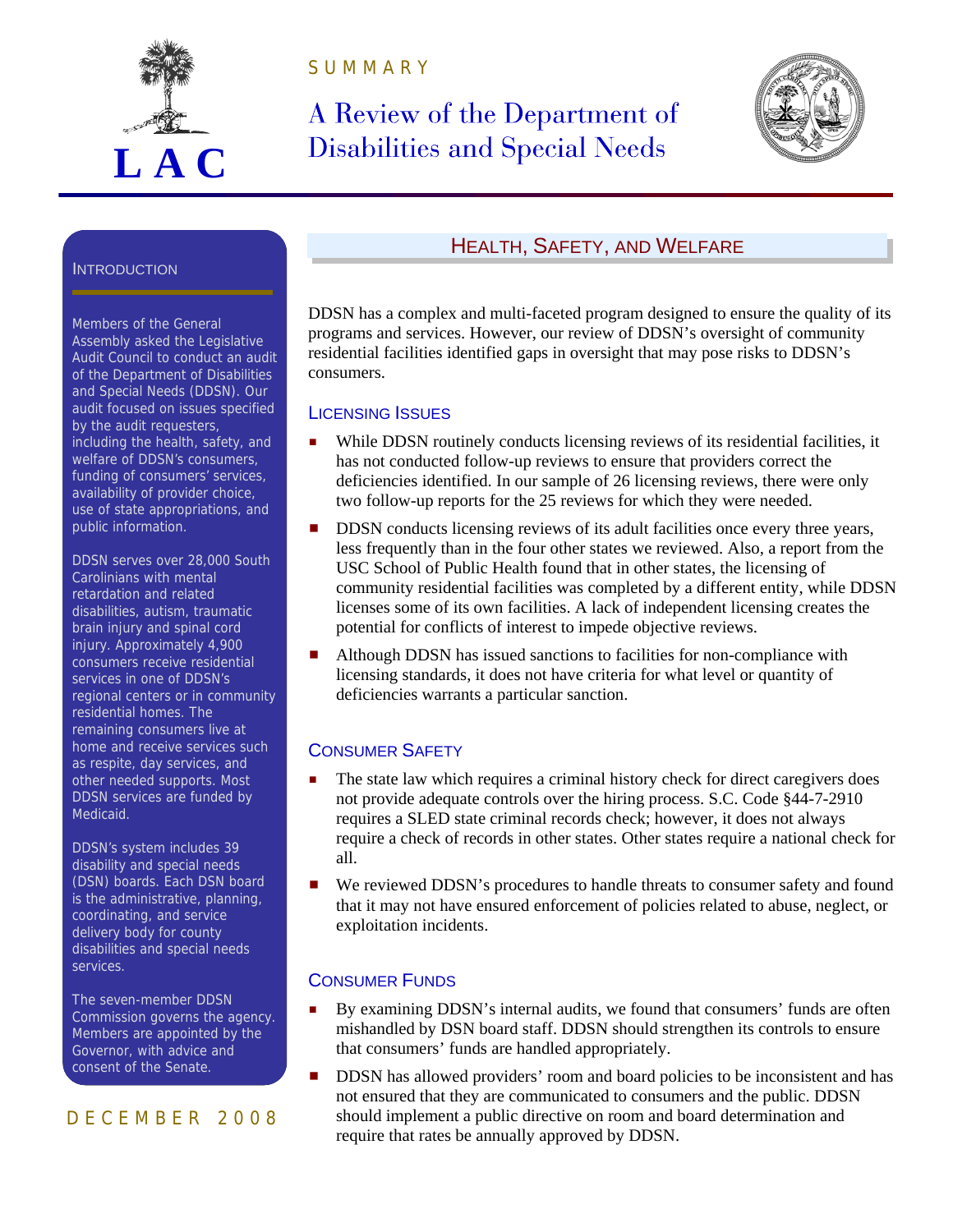

S U M M A R Y

# A Review of the Department of Disabilities and Special Needs



#### **INTRODUCTION**

Members of the General Assembly asked the Legislative Audit Council to conduct an audit of the Department of Disabilities and Special Needs (DDSN). Our audit focused on issues specified by the audit requesters, including the health, safety, and welfare of DDSN's consumers, funding of consumers' services, availability of provider choice, use of state appropriations, and public information.

DDSN serves over 28,000 South Carolinians with mental retardation and related disabilities, autism, traumatic brain injury and spinal cord injury. Approximately 4,900 consumers receive residential services in one of DDSN's regional centers or in community residential homes. The remaining consumers live at home and receive services such as respite, day services, and other needed supports. Most DDSN services are funded by Medicaid.

DDSN's system includes 39 disability and special needs (DSN) boards. Each DSN board is the administrative, planning, coordinating, and service delivery body for county disabilities and special needs services.

The seven-member DDSN Commission governs the agency. Members are appointed by the Governor, with advice and consent of the Senate.

## D E C E M B E R 2 0 0 8

# HEALTH, SAFETY, AND WELFARE

DDSN has a complex and multi-faceted program designed to ensure the quality of its programs and services. However, our review of DDSN's oversight of community residential facilities identified gaps in oversight that may pose risks to DDSN's consumers.

#### LICENSING ISSUES

- While DDSN routinely conducts licensing reviews of its residential facilities, it has not conducted follow-up reviews to ensure that providers correct the deficiencies identified. In our sample of 26 licensing reviews, there were only two follow-up reports for the 25 reviews for which they were needed.
- **DDSN** conducts licensing reviews of its adult facilities once every three years, less frequently than in the four other states we reviewed. Also, a report from the USC School of Public Health found that in other states, the licensing of community residential facilities was completed by a different entity, while DDSN licenses some of its own facilities. A lack of independent licensing creates the potential for conflicts of interest to impede objective reviews.
- Although DDSN has issued sanctions to facilities for non-compliance with licensing standards, it does not have criteria for what level or quantity of deficiencies warrants a particular sanction.

## CONSUMER SAFETY

- The state law which requires a criminal history check for direct caregivers does not provide adequate controls over the hiring process. S.C. Code §44-7-2910 requires a SLED state criminal records check; however, it does not always require a check of records in other states. Other states require a national check for all.
- We reviewed DDSN's procedures to handle threats to consumer safety and found that it may not have ensured enforcement of policies related to abuse, neglect, or exploitation incidents.

#### CONSUMER FUNDS

- **By examining DDSN's internal audits, we found that consumers' funds are often** mishandled by DSN board staff. DDSN should strengthen its controls to ensure that consumers' funds are handled appropriately.
- **DDSN** has allowed providers' room and board policies to be inconsistent and has not ensured that they are communicated to consumers and the public. DDSN should implement a public directive on room and board determination and require that rates be annually approved by DDSN.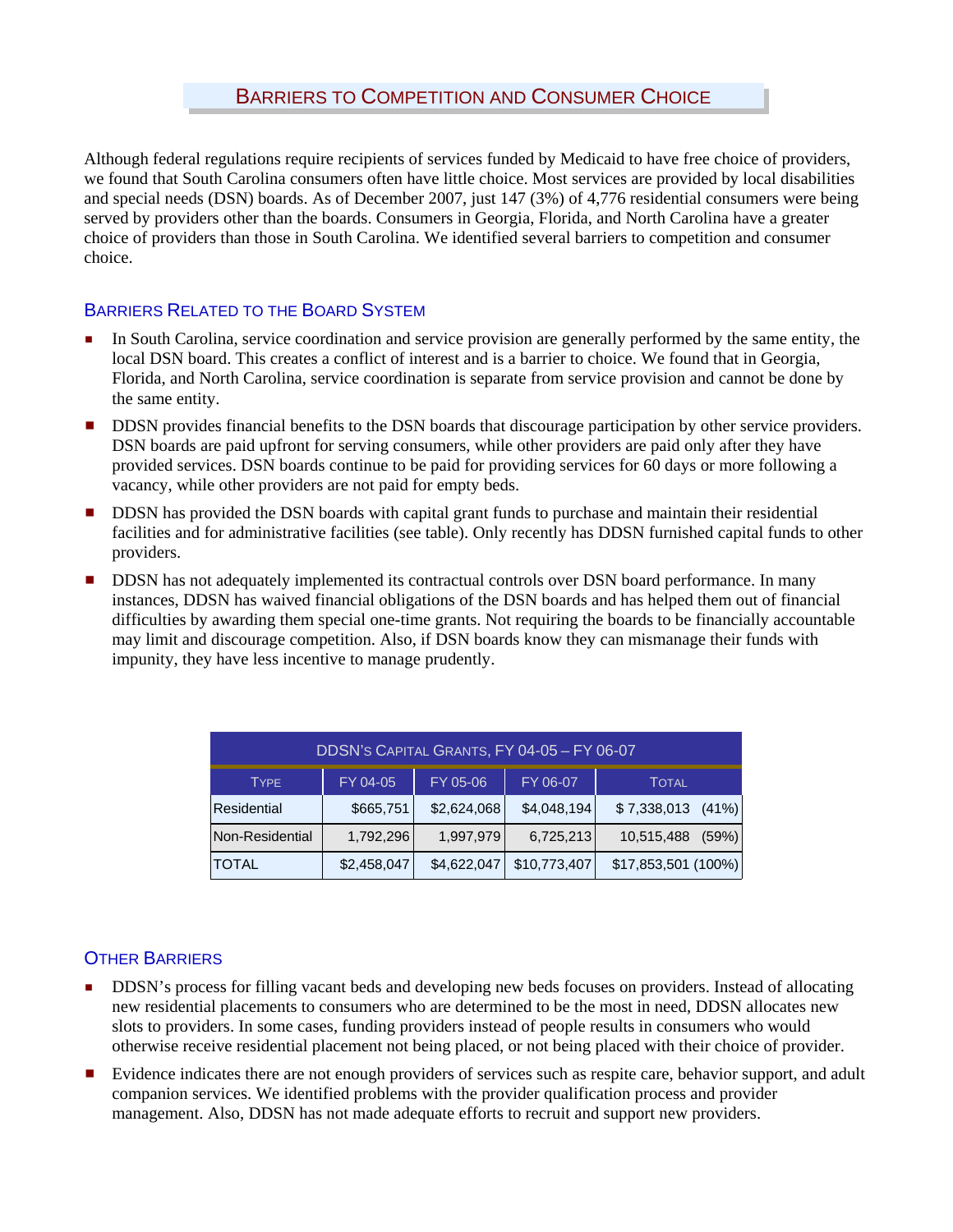Although federal regulations require recipients of services funded by Medicaid to have free choice of providers, we found that South Carolina consumers often have little choice. Most services are provided by local disabilities and special needs (DSN) boards. As of December 2007, just 147 (3%) of 4,776 residential consumers were being served by providers other than the boards. Consumers in Georgia, Florida, and North Carolina have a greater choice of providers than those in South Carolina. We identified several barriers to competition and consumer choice.

# BARRIERS RELATED TO THE BOARD SYSTEM

- In South Carolina, service coordination and service provision are generally performed by the same entity, the local DSN board. This creates a conflict of interest and is a barrier to choice. We found that in Georgia, Florida, and North Carolina, service coordination is separate from service provision and cannot be done by the same entity.
- **DDSN** provides financial benefits to the DSN boards that discourage participation by other service providers. DSN boards are paid upfront for serving consumers, while other providers are paid only after they have provided services. DSN boards continue to be paid for providing services for 60 days or more following a vacancy, while other providers are not paid for empty beds.
- DDSN has provided the DSN boards with capital grant funds to purchase and maintain their residential facilities and for administrative facilities (see table). Only recently has DDSN furnished capital funds to other providers.
- DDSN has not adequately implemented its contractual controls over DSN board performance. In many instances, DDSN has waived financial obligations of the DSN boards and has helped them out of financial difficulties by awarding them special one-time grants. Not requiring the boards to be financially accountable may limit and discourage competition. Also, if DSN boards know they can mismanage their funds with impunity, they have less incentive to manage prudently.

| DDSN'S CAPITAL GRANTS, FY 04-05 - FY 06-07 |             |             |              |                     |  |  |  |  |  |
|--------------------------------------------|-------------|-------------|--------------|---------------------|--|--|--|--|--|
| <b>TYPE</b>                                | FY 04-05    | FY 05-06    | FY 06-07     | <b>TOTAL</b>        |  |  |  |  |  |
| Residential                                | \$665,751   | \$2,624,068 | \$4,048,194  | $$7,338,013$ (41%)  |  |  |  |  |  |
| Non-Residential                            | 1,792,296   | 1,997,979   | 6,725,213    | 10,515,488<br>(59%) |  |  |  |  |  |
| <b>TOTAL</b>                               | \$2,458,047 | \$4,622,047 | \$10,773,407 | \$17,853,501 (100%) |  |  |  |  |  |

# OTHER BARRIERS

- **DDSN's process for filling vacant beds and developing new beds focuses on providers. Instead of allocating** new residential placements to consumers who are determined to be the most in need, DDSN allocates new slots to providers. In some cases, funding providers instead of people results in consumers who would otherwise receive residential placement not being placed, or not being placed with their choice of provider.
- Evidence indicates there are not enough providers of services such as respite care, behavior support, and adult companion services. We identified problems with the provider qualification process and provider management. Also, DDSN has not made adequate efforts to recruit and support new providers.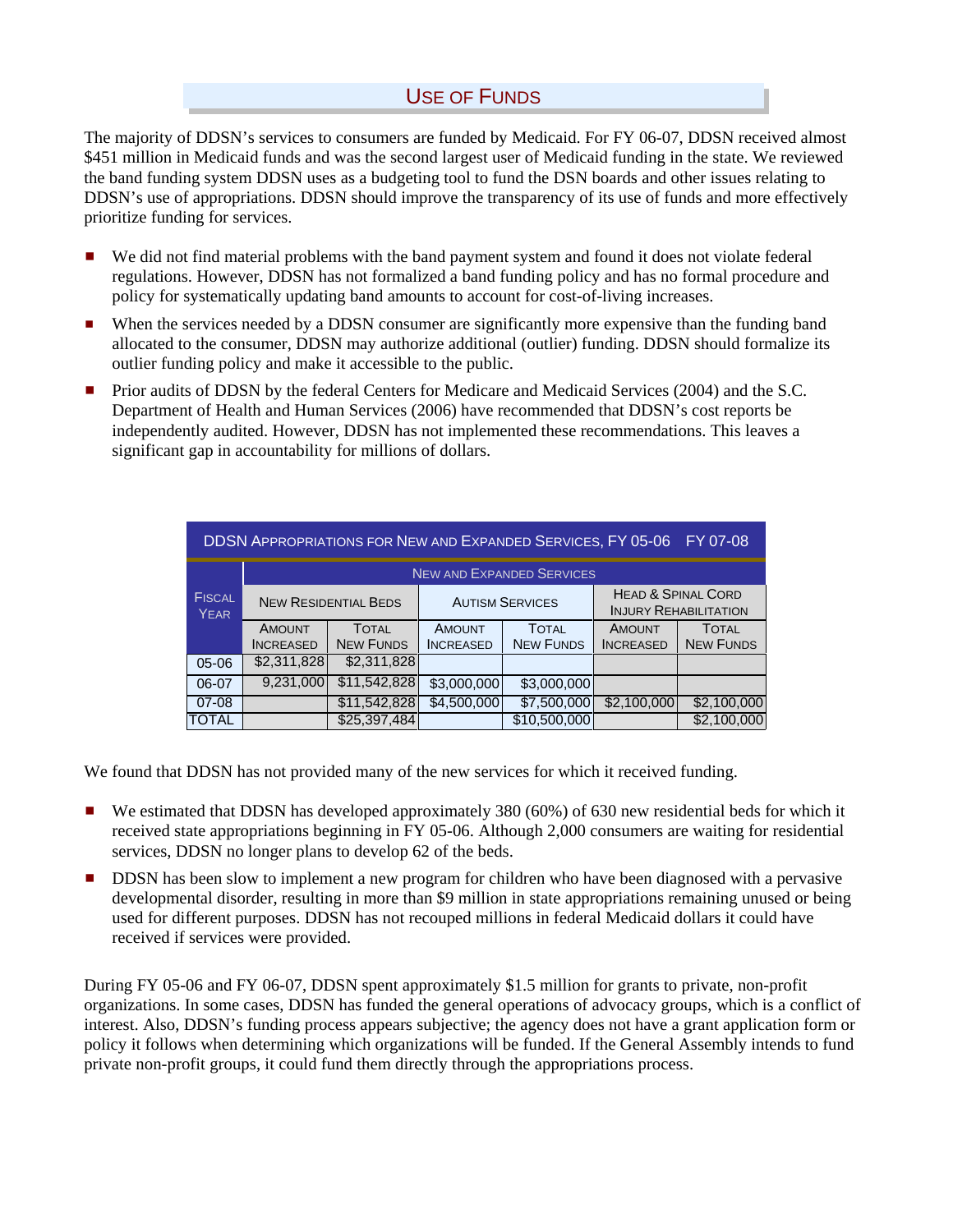# USE OF FUNDS

The majority of DDSN's services to consumers are funded by Medicaid. For FY 06-07, DDSN received almost \$451 million in Medicaid funds and was the second largest user of Medicaid funding in the state. We reviewed the band funding system DDSN uses as a budgeting tool to fund the DSN boards and other issues relating to DDSN's use of appropriations. DDSN should improve the transparency of its use of funds and more effectively prioritize funding for services.

- We did not find material problems with the band payment system and found it does not violate federal regulations. However, DDSN has not formalized a band funding policy and has no formal procedure and policy for systematically updating band amounts to account for cost-of-living increases.
- **E** When the services needed by a DDSN consumer are significantly more expensive than the funding band allocated to the consumer, DDSN may authorize additional (outlier) funding. DDSN should formalize its outlier funding policy and make it accessible to the public.
- Prior audits of DDSN by the federal Centers for Medicare and Medicaid Services (2004) and the S.C. Department of Health and Human Services (2006) have recommended that DDSN's cost reports be independently audited. However, DDSN has not implemented these recommendations. This leaves a significant gap in accountability for millions of dollars.

| <b>DDSN APPROPRIATIONS FOR NEW AND EXPANDED SERVICES, FY 05-06</b><br>FY 07-08 |                                   |                                  |                                   |                                  |                                                               |                                  |  |  |  |  |
|--------------------------------------------------------------------------------|-----------------------------------|----------------------------------|-----------------------------------|----------------------------------|---------------------------------------------------------------|----------------------------------|--|--|--|--|
|                                                                                | <b>NEW AND EXPANDED SERVICES</b>  |                                  |                                   |                                  |                                                               |                                  |  |  |  |  |
| <b>FISCAL</b><br><b>YEAR</b>                                                   | <b>NEW RESIDENTIAL BEDS</b>       |                                  | <b>AUTISM SERVICES</b>            |                                  | <b>HEAD &amp; SPINAL CORD</b><br><b>INJURY REHABILITATION</b> |                                  |  |  |  |  |
|                                                                                | <b>AMOUNT</b><br><b>INCREASED</b> | <b>TOTAL</b><br><b>NEW FUNDS</b> | <b>AMOUNT</b><br><b>INCREASED</b> | <b>TOTAL</b><br><b>NEW FUNDS</b> | <b>AMOUNT</b><br><b>INCREASED</b>                             | <b>TOTAL</b><br><b>NEW FUNDS</b> |  |  |  |  |
| $05-06$                                                                        | \$2,311,828                       | \$2,311,828                      |                                   |                                  |                                                               |                                  |  |  |  |  |
| 06-07                                                                          | 9,231,000                         | \$11,542,828                     | \$3,000,000                       | \$3,000,000                      |                                                               |                                  |  |  |  |  |
| $07 - 08$                                                                      |                                   | \$11,542,828                     | \$4,500,000                       | \$7,500,000                      | \$2,100,000                                                   | \$2,100,000                      |  |  |  |  |
| <b>TOTAL</b>                                                                   |                                   | \$25,397,484                     |                                   | \$10,500,000                     |                                                               | \$2,100,000                      |  |  |  |  |

We found that DDSN has not provided many of the new services for which it received funding.

- $\blacksquare$  We estimated that DDSN has developed approximately 380 (60%) of 630 new residential beds for which it received state appropriations beginning in FY 05-06. Although 2,000 consumers are waiting for residential services, DDSN no longer plans to develop 62 of the beds.
- DDSN has been slow to implement a new program for children who have been diagnosed with a pervasive developmental disorder, resulting in more than \$9 million in state appropriations remaining unused or being used for different purposes. DDSN has not recouped millions in federal Medicaid dollars it could have received if services were provided.

During FY 05-06 and FY 06-07, DDSN spent approximately \$1.5 million for grants to private, non-profit organizations. In some cases, DDSN has funded the general operations of advocacy groups, which is a conflict of interest. Also, DDSN's funding process appears subjective; the agency does not have a grant application form or policy it follows when determining which organizations will be funded. If the General Assembly intends to fund private non-profit groups, it could fund them directly through the appropriations process.